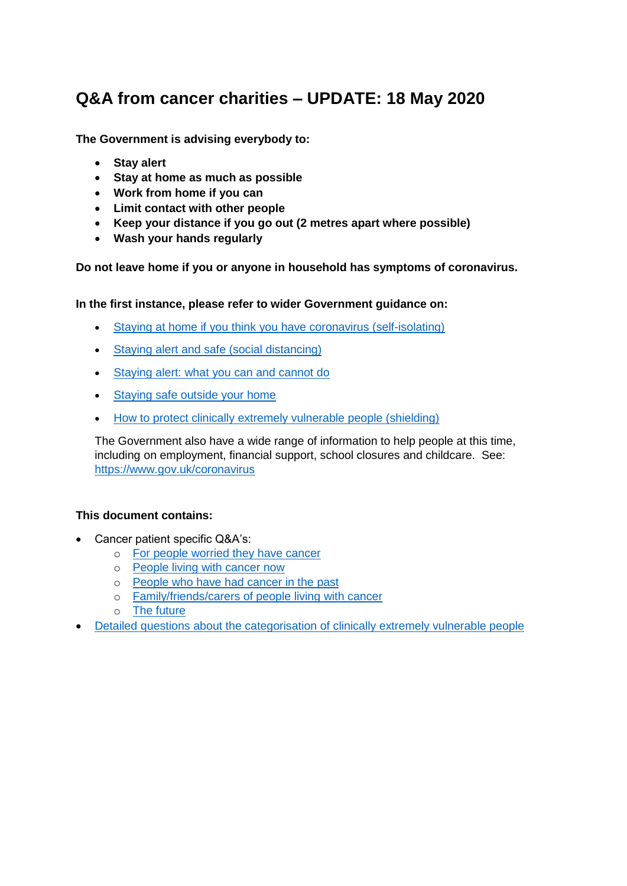# **Q&A from cancer charities – UPDATE: 18 May 2020**

**The Government is advising everybody to:**

- **Stay alert**
- **Stay at home as much as possible**
- **Work from home if you can**
- **Limit contact with other people**
- **Keep your distance if you go out (2 metres apart where possible)**
- **Wash your hands regularly**

**Do not leave home if you or anyone in household has symptoms of coronavirus.** 

**In the first instance, please refer to wider Government guidance on:**

- [Staying at home if you think you have coronavirus \(self-isolating\)](https://www.gov.uk/government/publications/covid-19-stay-at-home-guidance)
- [Staying alert and safe \(social distancing\)](https://www.gov.uk/government/publications/staying-alert-and-safe-social-distancing/staying-alert-and-safe-social-distancing)
- [Staying alert: what you can and cannot do](https://www.gov.uk/government/publications/coronavirus-outbreak-faqs-what-you-can-and-cant-do/coronavirus-outbreak-faqs-what-you-can-and-cant-do)
- [Staying safe outside your home](https://www.gov.uk/government/publications/staying-safe-outside-your-home)
- [How to protect clinically extremely vulnerable people \(shielding\)](https://www.gov.uk/government/publications/guidance-on-shielding-and-protecting-extremely-vulnerable-persons-from-covid-19/guidance-on-shielding-and-protecting-extremely-vulnerable-persons-from-covid-19)

The Government also have a wide range of information to help people at this time, including on employment, financial support, school closures and childcare. See: <https://www.gov.uk/coronavirus>

#### **This document contains:**

- Cancer patient specific Q&A's:
	- o [For people worried they have cancer](#page-1-0)
	- o [People living with cancer now](#page-1-1)
	- o [People who have had cancer in the past](#page-7-0)
	- o [Family/friends/carers of people living with cancer](#page-7-1)
	- o [The future](#page-7-2)
- [Detailed questions about the categorisation of clinically extremely vulnerable people](#page-8-0)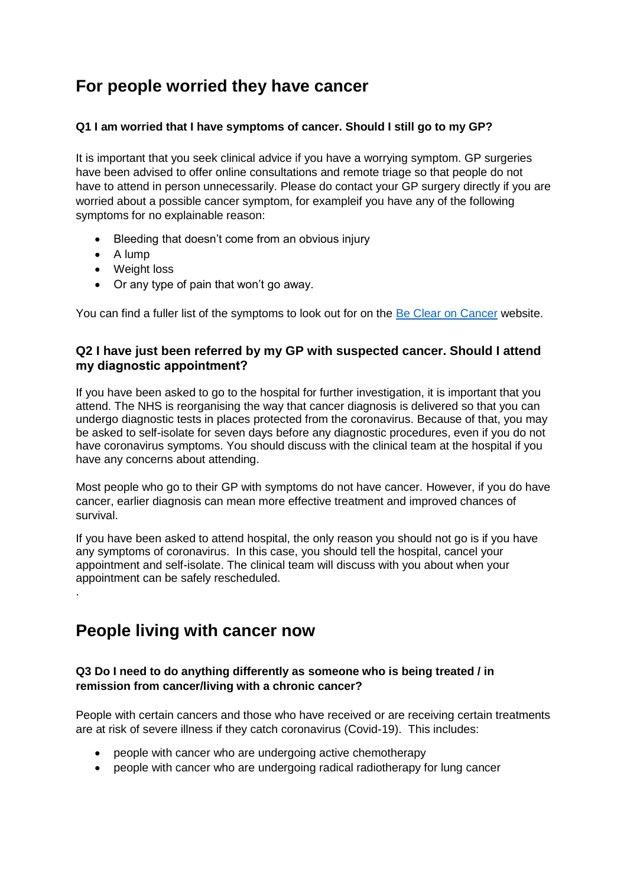# <span id="page-1-0"></span>**For people worried they have cancer**

#### **Q1 I am worried that I have symptoms of cancer. Should I still go to my GP?**

It is important that you seek clinical advice if you have a worrying symptom. GP surgeries have been advised to offer online consultations and remote triage so that people do not have to attend in person unnecessarily. Please do contact your GP surgery directly if you are worried about a possible cancer symptom, for exampleif you have any of the following symptoms for no explainable reason:

- Bleeding that doesn't come from an obvious injury
- A lump

.

- Weight loss
- Or any type of pain that won't go away.

You can find a fuller list of the symptoms to look out for on the [Be Clear on Cancer](https://www.nhs.uk/be-clear-on-cancer) website.

#### **Q2 I have just been referred by my GP with suspected cancer. Should I attend my diagnostic appointment?**

If you have been asked to go to the hospital for further investigation, it is important that you attend. The NHS is reorganising the way that cancer diagnosis is delivered so that you can undergo diagnostic tests in places protected from the coronavirus. Because of that, you may be asked to self-isolate for seven days before any diagnostic procedures, even if you do not have coronavirus symptoms. You should discuss with the clinical team at the hospital if you have any concerns about attending.

Most people who go to their GP with symptoms do not have cancer. However, if you do have cancer, earlier diagnosis can mean more effective treatment and improved chances of survival.

If you have been asked to attend hospital, the only reason you should not go is if you have any symptoms of coronavirus. In this case, you should tell the hospital, cancel your appointment and self-isolate. The clinical team will discuss with you about when your appointment can be safely rescheduled.

### <span id="page-1-1"></span>**People living with cancer now**

#### <span id="page-1-2"></span>**Q3 Do I need to do anything differently as someone who is being treated / in remission from cancer/living with a chronic cancer?**

People with certain cancers and those who have received or are receiving certain treatments are at risk of severe illness if they catch coronavirus (Covid-19). This includes:

- people with cancer who are undergoing active chemotherapy
- people with cancer who are undergoing radical radiotherapy for lung cancer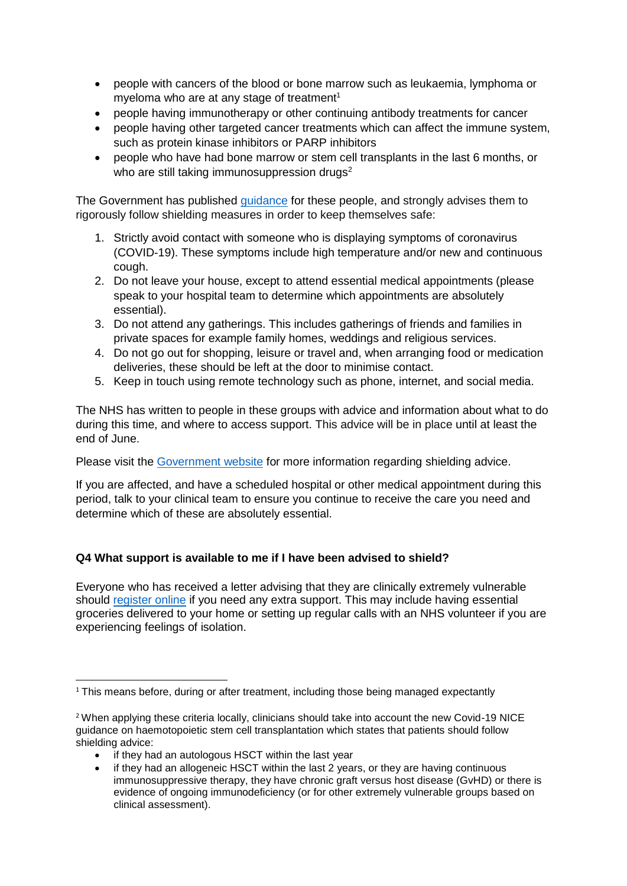- people with cancers of the blood or bone marrow such as leukaemia, lymphoma or myeloma who are at any stage of treatment<sup>1</sup>
- people having immunotherapy or other continuing antibody treatments for cancer
- people having other targeted cancer treatments which can affect the immune system, such as protein kinase inhibitors or PARP inhibitors
- people who have had bone marrow or stem cell transplants in the last 6 months, or who are still taking immunosuppression drugs<sup>2</sup>

The Government has published *quidance* for these people, and strongly advises them to rigorously follow shielding measures in order to keep themselves safe:

- 1. Strictly avoid contact with someone who is displaying symptoms of coronavirus (COVID-19). These symptoms include high temperature and/or new and continuous cough.
- 2. Do not leave your house, except to attend essential medical appointments (please speak to your hospital team to determine which appointments are absolutely essential).
- 3. Do not attend any gatherings. This includes gatherings of friends and families in private spaces for example family homes, weddings and religious services.
- 4. Do not go out for shopping, leisure or travel and, when arranging food or medication deliveries, these should be left at the door to minimise contact.
- 5. Keep in touch using remote technology such as phone, internet, and social media.

The NHS has written to people in these groups with advice and information about what to do during this time, and where to access support. This advice will be in place until at least the end of June.

Please visit the [Government website](https://www.gov.uk/government/publications/guidance-on-shielding-and-protecting-extremely-vulnerable-persons-from-covid-19/guidance-on-shielding-and-protecting-extremely-vulnerable-persons-from-covid-19) for more information regarding shielding advice.

If you are affected, and have a scheduled hospital or other medical appointment during this period, talk to your clinical team to ensure you continue to receive the care you need and determine which of these are absolutely essential.

### **Q4 What support is available to me if I have been advised to shield?**

Everyone who has received a letter advising that they are clinically extremely vulnerable should [register online](https://www.gov.uk/coronavirus-extremely-vulnerable) if you need any extra support. This may include having essential groceries delivered to your home or setting up regular calls with an NHS volunteer if you are experiencing feelings of isolation.

- if they had an autologous HSCT within the last year
- if they had an allogeneic HSCT within the last 2 years, or they are having continuous immunosuppressive therapy, they have chronic graft versus host disease (GvHD) or there is evidence of ongoing immunodeficiency (or for other extremely vulnerable groups based on clinical assessment).

**<sup>.</sup>** <sup>1</sup> This means before, during or after treatment, including those being managed expectantly

<sup>&</sup>lt;sup>2</sup> When applying these criteria locally, clinicians should take into account the new Covid-19 NICE guidance on haemotopoietic stem cell transplantation which states that patients should follow shielding advice: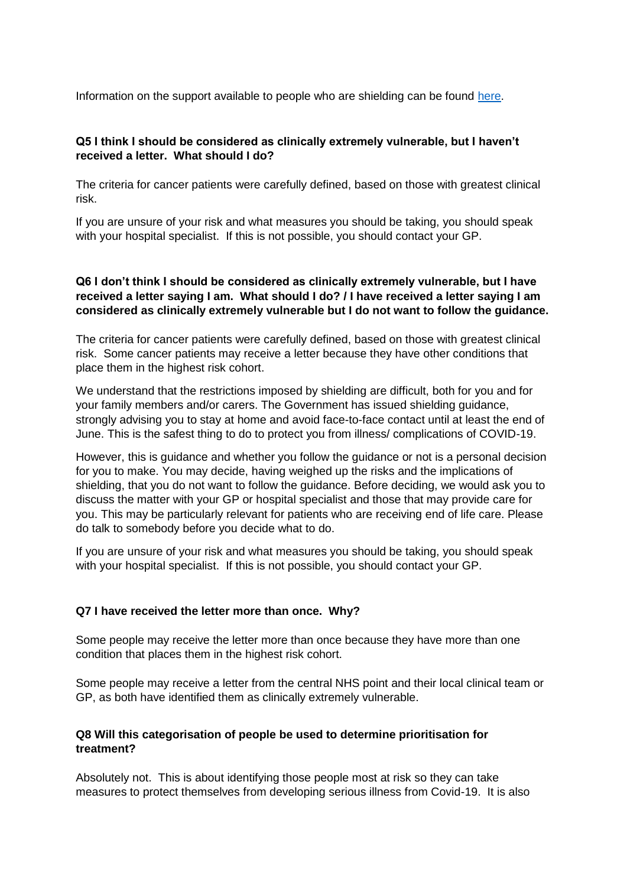Information on the support available to people who are shielding can be found [here.](https://www.gov.uk/government/publications/guidance-on-shielding-and-protecting-extremely-vulnerable-persons-from-covid-19/guidance-on-shielding-and-protecting-extremely-vulnerable-persons-from-covid-19)

#### **Q5 I think I should be considered as clinically extremely vulnerable, but I haven't received a letter. What should I do?**

The criteria for cancer patients were carefully defined, based on those with greatest clinical risk.

If you are unsure of your risk and what measures you should be taking, you should speak with your hospital specialist. If this is not possible, you should contact your GP.

#### **Q6 I don't think I should be considered as clinically extremely vulnerable, but I have received a letter saying I am. What should I do? / I have received a letter saying I am considered as clinically extremely vulnerable but I do not want to follow the guidance.**

The criteria for cancer patients were carefully defined, based on those with greatest clinical risk. Some cancer patients may receive a letter because they have other conditions that place them in the highest risk cohort.

We understand that the restrictions imposed by shielding are difficult, both for you and for your family members and/or carers. The Government has issued shielding guidance, strongly advising you to stay at home and avoid face-to-face contact until at least the end of June. This is the safest thing to do to protect you from illness/ complications of COVID-19.

However, this is guidance and whether you follow the guidance or not is a personal decision for you to make. You may decide, having weighed up the risks and the implications of shielding, that you do not want to follow the guidance. Before deciding, we would ask you to discuss the matter with your GP or hospital specialist and those that may provide care for you. This may be particularly relevant for patients who are receiving end of life care. Please do talk to somebody before you decide what to do.

If you are unsure of your risk and what measures you should be taking, you should speak with your hospital specialist. If this is not possible, you should contact your GP.

#### **Q7 I have received the letter more than once. Why?**

Some people may receive the letter more than once because they have more than one condition that places them in the highest risk cohort.

Some people may receive a letter from the central NHS point and their local clinical team or GP, as both have identified them as clinically extremely vulnerable.

#### **Q8 Will this categorisation of people be used to determine prioritisation for treatment?**

Absolutely not. This is about identifying those people most at risk so they can take measures to protect themselves from developing serious illness from Covid-19. It is also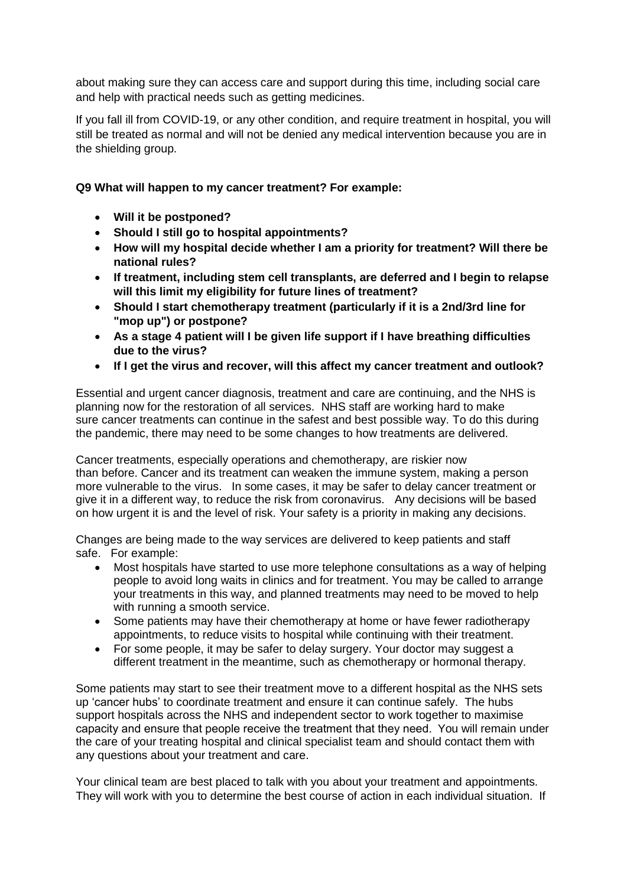about making sure they can access care and support during this time, including social care and help with practical needs such as getting medicines.

If you fall ill from COVID-19, or any other condition, and require treatment in hospital, you will still be treated as normal and will not be denied any medical intervention because you are in the shielding group.

#### <span id="page-4-0"></span>**Q9 What will happen to my cancer treatment? For example:**

- **Will it be postponed?**
- **Should I still go to hospital appointments?**
- **How will my hospital decide whether I am a priority for treatment? Will there be national rules?**
- **If treatment, including stem cell transplants, are deferred and I begin to relapse will this limit my eligibility for future lines of treatment?**
- **Should I start chemotherapy treatment (particularly if it is a 2nd/3rd line for "mop up") or postpone?**
- **As a stage 4 patient will I be given life support if I have breathing difficulties due to the virus?**
- **If I get the virus and recover, will this affect my cancer treatment and outlook?**

Essential and urgent cancer diagnosis, treatment and care are continuing, and the NHS is planning now for the restoration of all services. NHS staff are working hard to make sure cancer treatments can continue in the safest and best possible way. To do this during the pandemic, there may need to be some changes to how treatments are delivered.

Cancer treatments, especially operations and chemotherapy, are riskier now than before. Cancer and its treatment can weaken the immune system, making a person more vulnerable to the virus. In some cases, it may be safer to delay cancer treatment or give it in a different way, to reduce the risk from coronavirus. Any decisions will be based on how urgent it is and the level of risk. Your safety is a priority in making any decisions.

Changes are being made to the way services are delivered to keep patients and staff safe. For example:

- Most hospitals have started to use more telephone consultations as a way of helping people to avoid long waits in clinics and for treatment. You may be called to arrange your treatments in this way, and planned treatments may need to be moved to help with running a smooth service.
- Some patients may have their chemotherapy at home or have fewer radiotherapy appointments, to reduce visits to hospital while continuing with their treatment.
- For some people, it may be safer to delay surgery. Your doctor may suggest a different treatment in the meantime, such as chemotherapy or hormonal therapy.

Some patients may start to see their treatment move to a different hospital as the NHS sets up 'cancer hubs' to coordinate treatment and ensure it can continue safely. The hubs support hospitals across the NHS and independent sector to work together to maximise capacity and ensure that people receive the treatment that they need.  You will remain under the care of your treating hospital and clinical specialist team and should contact them with any questions about your treatment and care.

Your clinical team are best placed to talk with you about your treatment and appointments. They will work with you to determine the best course of action in each individual situation. If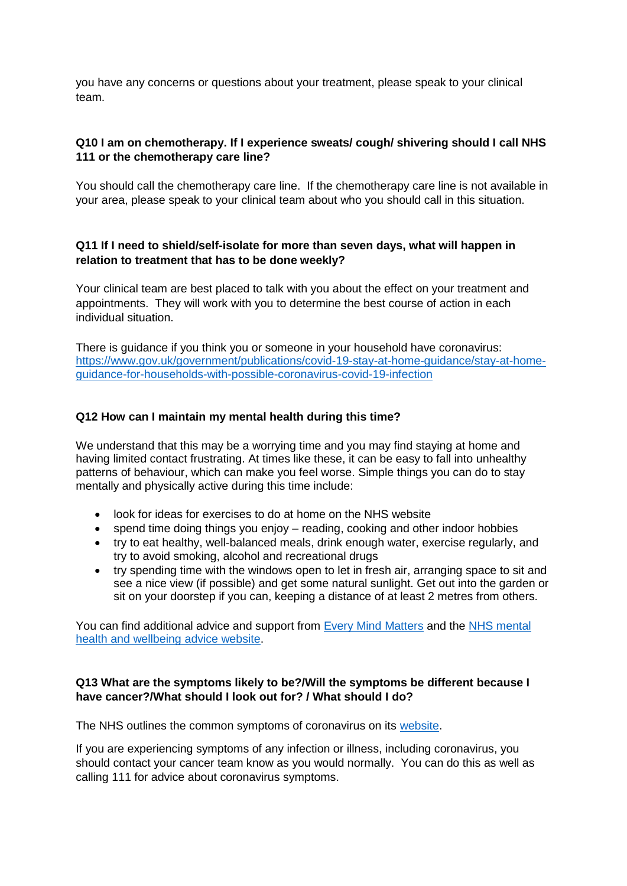you have any concerns or questions about your treatment, please speak to your clinical team.

#### **Q10 I am on chemotherapy. If I experience sweats/ cough/ shivering should I call NHS 111 or the chemotherapy care line?**

You should call the chemotherapy care line. If the chemotherapy care line is not available in your area, please speak to your clinical team about who you should call in this situation.

#### **Q11 If I need to shield/self-isolate for more than seven days, what will happen in relation to treatment that has to be done weekly?**

Your clinical team are best placed to talk with you about the effect on your treatment and appointments. They will work with you to determine the best course of action in each individual situation.

There is guidance if you think you or someone in your household have coronavirus: [https://www.gov.uk/government/publications/covid-19-stay-at-home-guidance/stay-at-home](https://www.gov.uk/government/publications/covid-19-stay-at-home-guidance/stay-at-home-guidance-for-households-with-possible-coronavirus-covid-19-infection)[guidance-for-households-with-possible-coronavirus-covid-19-infection](https://www.gov.uk/government/publications/covid-19-stay-at-home-guidance/stay-at-home-guidance-for-households-with-possible-coronavirus-covid-19-infection)

#### **Q12 How can I maintain my mental health during this time?**

We understand that this may be a worrying time and you may find staying at home and having limited contact frustrating. At times like these, it can be easy to fall into unhealthy patterns of behaviour, which can make you feel worse. Simple things you can do to stay mentally and physically active during this time include:

- look for ideas for exercises to do at home on the NHS website
- spend time doing things you enjoy reading, cooking and other indoor hobbies
- try to eat healthy, well-balanced meals, drink enough water, exercise regularly, and try to avoid smoking, alcohol and recreational drugs
- try spending time with the windows open to let in fresh air, arranging space to sit and see a nice view (if possible) and get some natural sunlight. Get out into the garden or sit on your doorstep if you can, keeping a distance of at least 2 metres from others.

You can find additional advice and support from [Every Mind Matters](https://www.nhs.uk/oneyou/every-mind-matters/) and the [NHS mental](https://www.nhs.uk/conditions/stress-anxiety-depression/)  [health and wellbeing advice website.](https://www.nhs.uk/conditions/stress-anxiety-depression/)

#### **Q13 What are the symptoms likely to be?/Will the symptoms be different because I have cancer?/What should I look out for? / What should I do?**

The NHS outlines the common symptoms of coronavirus on its [website.](https://www.nhs.uk/conditions/coronavirus-covid-19/)

If you are experiencing symptoms of any infection or illness, including coronavirus, you should contact your cancer team know as you would normally. You can do this as well as calling 111 for advice about coronavirus symptoms.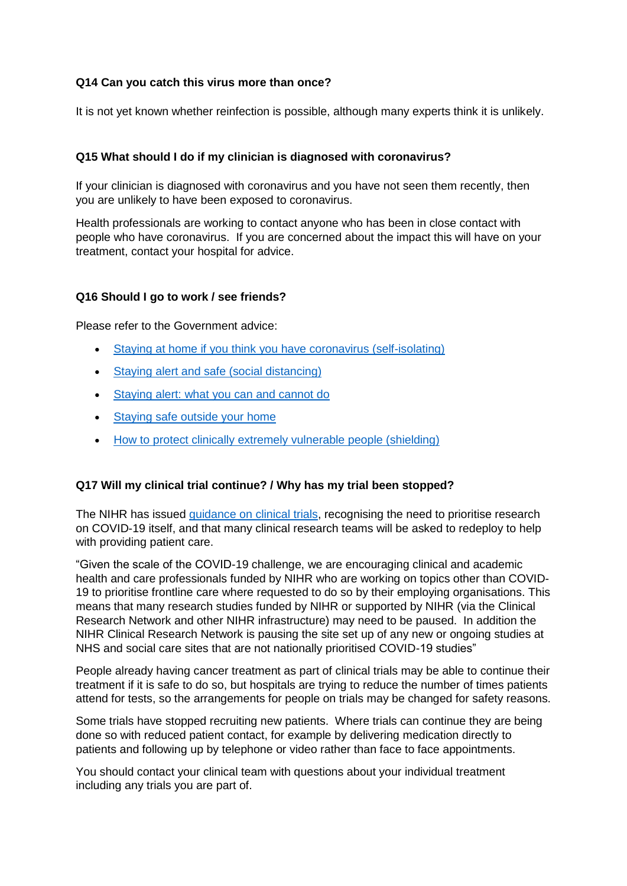#### **Q14 Can you catch this virus more than once?**

It is not yet known whether reinfection is possible, although many experts think it is unlikely.

#### **Q15 What should I do if my clinician is diagnosed with coronavirus?**

If your clinician is diagnosed with coronavirus and you have not seen them recently, then you are unlikely to have been exposed to coronavirus.

Health professionals are working to contact anyone who has been in close contact with people who have coronavirus. If you are concerned about the impact this will have on your treatment, contact your hospital for advice.

#### **Q16 Should I go to work / see friends?**

Please refer to the Government advice:

- [Staying at home if you think you have coronavirus \(self-isolating\)](https://www.gov.uk/government/publications/covid-19-stay-at-home-guidance)
- [Staying alert and safe \(social distancing\)](https://www.gov.uk/government/publications/staying-alert-and-safe-social-distancing/staying-alert-and-safe-social-distancing)
- [Staying alert: what you can and cannot do](https://www.gov.uk/government/publications/coronavirus-outbreak-faqs-what-you-can-and-cant-do/coronavirus-outbreak-faqs-what-you-can-and-cant-do)
- [Staying safe outside your home](https://www.gov.uk/government/publications/staying-safe-outside-your-home)
- [How to protect clinically extremely vulnerable people \(shielding\)](https://www.gov.uk/government/publications/guidance-on-shielding-and-protecting-extremely-vulnerable-persons-from-covid-19/guidance-on-shielding-and-protecting-extremely-vulnerable-persons-from-covid-19)

#### **Q17 Will my clinical trial continue? / Why has my trial been stopped?**

The NIHR has issued [guidance on clinical trials,](https://www.nihr.ac.uk/covid-19/) recognising the need to prioritise research on COVID-19 itself, and that many clinical research teams will be asked to redeploy to help with providing patient care.

"Given the scale of the COVID-19 challenge, we are encouraging clinical and academic health and care professionals funded by NIHR who are working on topics other than COVID-19 to prioritise frontline care where requested to do so by their employing organisations. This means that many research studies funded by NIHR or supported by NIHR (via the Clinical Research Network and other NIHR infrastructure) may need to be paused. In addition the NIHR Clinical Research Network is pausing the site set up of any new or ongoing studies at NHS and social care sites that are not nationally prioritised COVID-19 studies"

People already having cancer treatment as part of clinical trials may be able to continue their treatment if it is safe to do so, but hospitals are trying to reduce the number of times patients attend for tests, so the arrangements for people on trials may be changed for safety reasons.

Some trials have stopped recruiting new patients. Where trials can continue they are being done so with reduced patient contact, for example by delivering medication directly to patients and following up by telephone or video rather than face to face appointments.

You should contact your clinical team with questions about your individual treatment including any trials you are part of.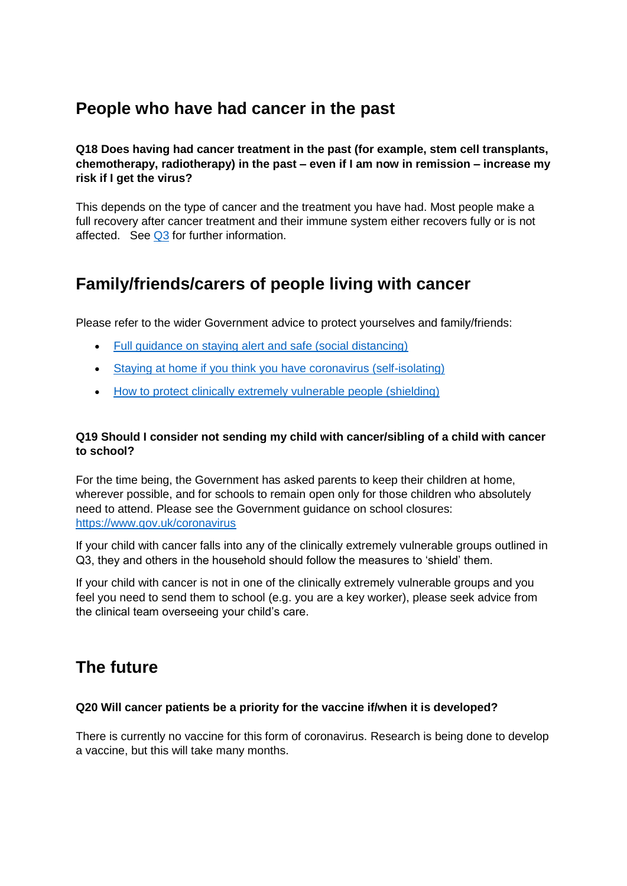## <span id="page-7-0"></span>**People who have had cancer in the past**

**Q18 Does having had cancer treatment in the past (for example, stem cell transplants, chemotherapy, radiotherapy) in the past – even if I am now in remission – increase my risk if I get the virus?** 

This depends on the type of cancer and the treatment you have had. Most people make a full recovery after cancer treatment and their immune system either recovers fully or is not affected. See  $Q3$  for further information.

# <span id="page-7-1"></span>**Family/friends/carers of people living with cancer**

Please refer to the wider Government advice to protect yourselves and family/friends:

- [Full guidance on staying alert and safe \(social distancing\)](https://www.gov.uk/government/publications/full-guidance-on-staying-at-home-and-away-from-others)
- [Staying at home if you think you have coronavirus \(self-isolating\)](https://www.gov.uk/government/publications/covid-19-stay-at-home-guidance)
- [How to protect clinically extremely vulnerable people \(shielding\)](https://www.gov.uk/government/publications/guidance-on-shielding-and-protecting-extremely-vulnerable-persons-from-covid-19/guidance-on-shielding-and-protecting-extremely-vulnerable-persons-from-covid-19)

#### **Q19 Should I consider not sending my child with cancer/sibling of a child with cancer to school?**

For the time being, the Government has asked parents to keep their children at home, wherever possible, and for schools to remain open only for those children who absolutely need to attend. Please see the Government guidance on school closures: <https://www.gov.uk/coronavirus>

If your child with cancer falls into any of the clinically extremely vulnerable groups outlined in Q3, they and others in the household should follow the measures to 'shield' them.

If your child with cancer is not in one of the clinically extremely vulnerable groups and you feel you need to send them to school (e.g. you are a key worker), please seek advice from the clinical team overseeing your child's care.

### <span id="page-7-2"></span>**The future**

#### **Q20 Will cancer patients be a priority for the vaccine if/when it is developed?**

There is currently no vaccine for this form of coronavirus. Research is being done to develop a vaccine, but this will take many months.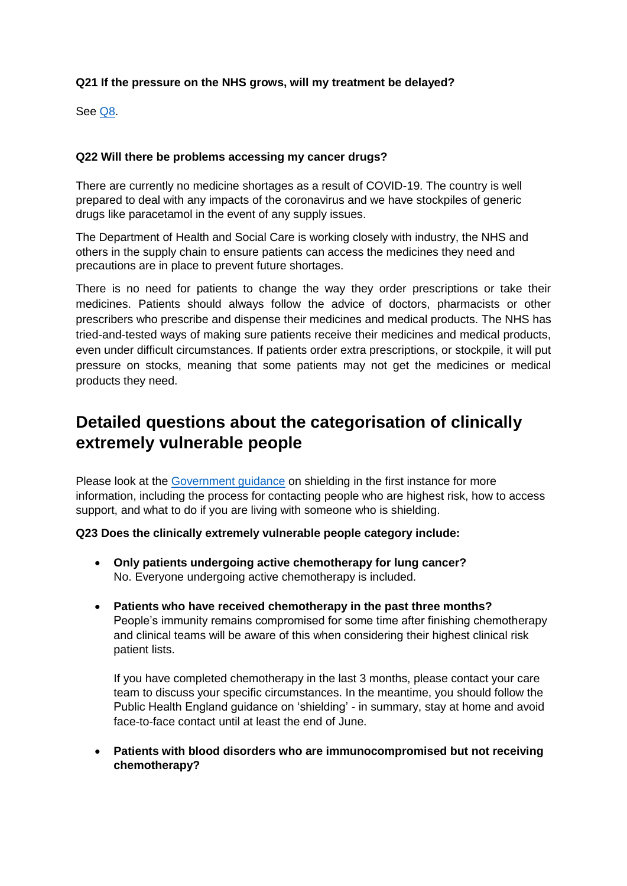#### **Q21 If the pressure on the NHS grows, will my treatment be delayed?**

See [Q8.](#page-4-0)

#### **Q22 Will there be problems accessing my cancer drugs?**

There are currently no medicine shortages as a result of COVID-19. The country is well prepared to deal with any impacts of the coronavirus and we have stockpiles of generic drugs like paracetamol in the event of any supply issues.

The Department of Health and Social Care is working closely with industry, the NHS and others in the supply chain to ensure patients can access the medicines they need and precautions are in place to prevent future shortages.

There is no need for patients to change the way they order prescriptions or take their medicines. Patients should always follow the advice of doctors, pharmacists or other prescribers who prescribe and dispense their medicines and medical products. The NHS has tried-and-tested ways of making sure patients receive their medicines and medical products, even under difficult circumstances. If patients order extra prescriptions, or stockpile, it will put pressure on stocks, meaning that some patients may not get the medicines or medical products they need.

## <span id="page-8-0"></span>**Detailed questions about the categorisation of clinically extremely vulnerable people**

Please look at the [Government guidance](https://www.gov.uk/government/publications/guidance-on-shielding-and-protecting-extremely-vulnerable-persons-from-covid-19/guidance-on-shielding-and-protecting-extremely-vulnerable-persons-from-covid-19) on shielding in the first instance for more information, including the process for contacting people who are highest risk, how to access support, and what to do if you are living with someone who is shielding.

#### **Q23 Does the clinically extremely vulnerable people category include:**

- **Only patients undergoing active chemotherapy for lung cancer?** No. Everyone undergoing active chemotherapy is included.
- **Patients who have received chemotherapy in the past three months?** People's immunity remains compromised for some time after finishing chemotherapy and clinical teams will be aware of this when considering their highest clinical risk patient lists.

If you have completed chemotherapy in the last 3 months, please contact your care team to discuss your specific circumstances. In the meantime, you should follow the Public Health England guidance on 'shielding' - in summary, stay at home and avoid face-to-face contact until at least the end of June.

• **Patients with blood disorders who are immunocompromised but not receiving chemotherapy?**